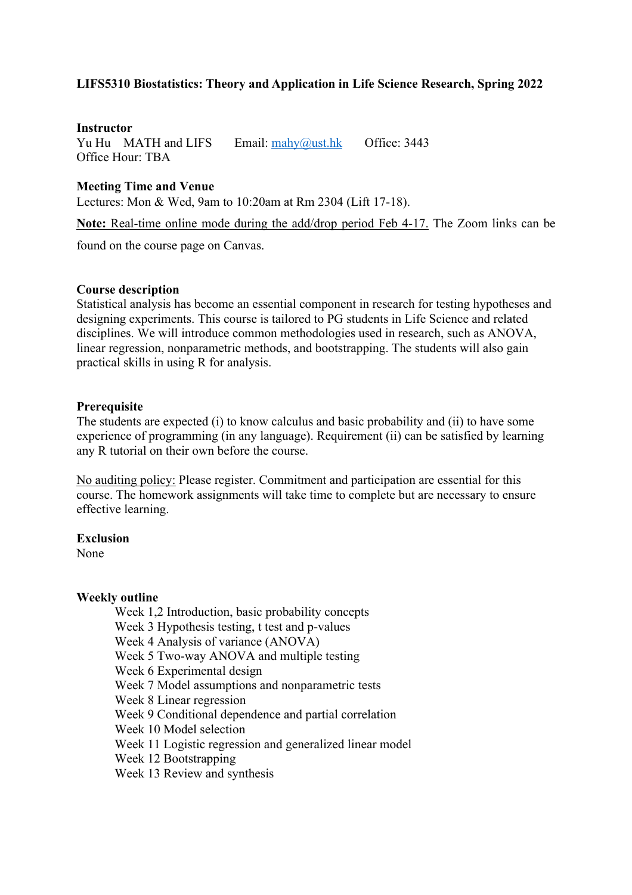# **LIFS5310 Biostatistics: Theory and Application in Life Science Research, Spring 2022**

### **Instructor**

Yu Hu MATH and LIFS Email: mahy@ust.hk Office: 3443 Office Hour: TBA

### **Meeting Time and Venue**

Lectures: Mon & Wed, 9am to 10:20am at Rm 2304 (Lift 17-18).

**Note:** Real-time online mode during the add/drop period Feb 4-17. The Zoom links can be

found on the course page on Canvas.

### **Course description**

Statistical analysis has become an essential component in research for testing hypotheses and designing experiments. This course is tailored to PG students in Life Science and related disciplines. We will introduce common methodologies used in research, such as ANOVA, linear regression, nonparametric methods, and bootstrapping. The students will also gain practical skills in using R for analysis.

#### **Prerequisite**

The students are expected (i) to know calculus and basic probability and (ii) to have some experience of programming (in any language). Requirement (ii) can be satisfied by learning any R tutorial on their own before the course.

No auditing policy: Please register. Commitment and participation are essential for this course. The homework assignments will take time to complete but are necessary to ensure effective learning.

#### **Exclusion**

None

#### **Weekly outline**

Week 1,2 Introduction, basic probability concepts

Week 3 Hypothesis testing, t test and p-values

Week 4 Analysis of variance (ANOVA)

- Week 5 Two-way ANOVA and multiple testing
- Week 6 Experimental design
- Week 7 Model assumptions and nonparametric tests
- Week 8 Linear regression
- Week 9 Conditional dependence and partial correlation
- Week 10 Model selection
- Week 11 Logistic regression and generalized linear model
- Week 12 Bootstrapping
- Week 13 Review and synthesis